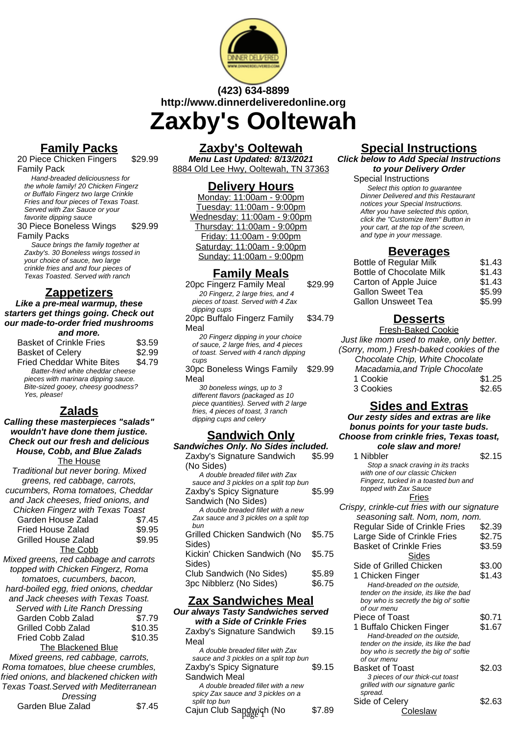

# **(423) 634-8899 http://www.dinnerdeliveredonline.org Zaxby's Ooltewah**

# **Family Packs**

20 Piece Chicken Fingers Family Pack

\$29.99

Hand-breaded deliciousness for the whole family! 20 Chicken Fingerz or Buffalo Fingerz two large Crinkle Fries and four pieces of Texas Toast. Served with Zax Sauce or your favorite dipping sauce 30 Piece Boneless Wings \$29.99

Family Packs

Sauce brings the family together at Zaxby's. 30 Boneless wings tossed in your choice of sauce, two large crinkle fries and and four pieces of Texas Toasted. Served with ranch

# **Zappetizers**

**Like a pre-meal warmup, these starters get things going. Check out our made-to-order fried mushrooms and more.**

| <b>Basket of Crinkle Fries</b>                                                                                                 | \$3.59 |
|--------------------------------------------------------------------------------------------------------------------------------|--------|
| <b>Basket of Celery</b>                                                                                                        | \$2.99 |
| <b>Fried Cheddar White Bites</b>                                                                                               | \$4.79 |
| Batter-fried white cheddar cheese<br>pieces with marinara dipping sauce.<br>Bite-sized gooey, cheesy goodness?<br>Yes, please! |        |

# **Zalads**

**Calling these masterpieces "salads" wouldn't have done them justice. Check out our fresh and delicious House, Cobb, and Blue Zalads** The House Traditional but never boring. Mixed

| i raditional but never boring. Mixed |        |  |
|--------------------------------------|--------|--|
| greens, red cabbage, carrots,        |        |  |
| cucumbers, Roma tomatoes, Cheddar    |        |  |
| and Jack cheeses, fried onions, and  |        |  |
| Chicken Fingerz with Texas Toast     |        |  |
| Garden House Zalad                   | \$7.45 |  |
| Fried House Zalad                    | \$9.95 |  |
| <b>Grilled House Zalad</b>           | \$9.95 |  |
| The Cobb                             |        |  |
|                                      |        |  |

Mixed greens, red cabbage and carrots topped with Chicken Fingerz, Roma tomatoes, cucumbers, bacon, hard-boiled egg, fried onions, cheddar and Jack cheeses with Texas Toast. Served with Lite Ranch Dressing Garden Cobb Zalad \$7.79  $G \cdot \mathbf{B}$   $\mathbf{A} \cdot \mathbf{A}$ 

| Grilled Cobb Zalad                                 | \$10.35 |
|----------------------------------------------------|---------|
| Fried Cobb Zalad                                   | \$10.35 |
| The Blackened Blue                                 |         |
| $l$ : $\alpha$ d avec no ved establection converts |         |

Mixed greens, red cabbage, carrots, Roma tomatoes, blue cheese crumbles, fried onions, and blackened chicken with Texas Toast.Served with Mediterranean

|                   | Dressing |  |        |
|-------------------|----------|--|--------|
| Garden Blue Zalad |          |  | \$7.45 |

#### **Zaxby's Ooltewah**

**Menu Last Updated: 8/13/2021** 8884 Old Lee Hwy, Ooltewah, TN 37363

#### **Delivery Hours**

Monday: 11:00am - 9:00pm Tuesday: 11:00am - 9:00pm Wednesday: 11:00am - 9:00pm Thursday: 11:00am - 9:00pm Friday: 11:00am - 9:00pm Saturday: 11:00am - 9:00pm Sunday: 11:00am - 9:00pm

#### **Family Meals**

20pc Fingerz Family Meal \$29.99 20 Fingerz, 2 large fries, and 4 pieces of toast. Served with 4 Zax dipping cups 20pc Buffalo Fingerz Family Meal \$34.79 20 Fingerz dipping in your choice of sauce, 2 large fries, and 4 pieces

of toast. Served with 4 ranch dipping cups

30pc Boneless Wings Family Meal \$29.99

30 boneless wings, up to 3 different flavors (packaged as 10 piece quantities). Served with 2 large fries, 4 pieces of toast, 3 ranch dipping cups and celery

#### **Sandwich Only**

| Sandwiches Only. No Sides included.    |        |
|----------------------------------------|--------|
| Zaxby's Signature Sandwich             | \$5.99 |
| (No Sides)                             |        |
| A double breaded fillet with Zax       |        |
| sauce and 3 pickles on a split top bun |        |
| Zaxby's Spicy Signature                | \$5.99 |
| Sandwich (No Sides)                    |        |
| A double breaded fillet with a new     |        |
| Zax sauce and 3 pickles on a split top |        |
| bun                                    |        |
| Grilled Chicken Sandwich (No           | \$5.75 |
| Sides)                                 |        |
| Kickin' Chicken Sandwich (No           | \$5.75 |
| Sides)                                 |        |
| Club Sandwich (No Sides)               | \$5.89 |
| 3pc Nibblerz (No Sides)                | \$6.75 |

#### **Zax Sandwiches Meal**

**Our always Tasty Sandwiches served with a Side of Crinkle Fries** Zaxby's Signature Sandwich Meal \$9.15 A double breaded fillet with Zax sauce and 3 pickles on a split top bun Zaxby's Spicy Signature Sandwich Meal \$9.15 A double breaded fillet with a new spicy Zax sauce and 3 pickles on a split top bun Cajun Club Sandwich (No \$7.89 page 1 Coleslaw

### **Special Instructions**

**Click below to Add Special Instructions to your Delivery Order**

Special Instructions Select this option to quarantee Dinner Delivered and this Restaurant notices your Special Instructions. After you have selected this option, click the "Customize Item" Button in your cart, at the top of the screen, and type in your message.

#### **Beverages**

| <b>Bottle of Regular Milk</b>   | \$1.43 |
|---------------------------------|--------|
| <b>Bottle of Chocolate Milk</b> | \$1.43 |
| Carton of Apple Juice           | \$1.43 |
| <b>Gallon Sweet Tea</b>         | \$5.99 |
| <b>Gallon Unsweet Tea</b>       | \$5.99 |
|                                 |        |

# **Desserts**

Fresh-Baked Cookie Just like mom used to make, only better. (Sorry, mom.) Fresh-baked cookies of the Chocolate Chip, White Chocolate Macadamia,and Triple Chocolate 1 Cookie  $$1.25$ 3 Cookies **\$2.65** 

#### **Sides and Extras**

**Our zesty sides and extras are like bonus points for your taste buds. Choose from crinkle fries, Texas toast, cole slaw and more!**

1 Nibbler \$2.15 Stop a snack craving in its tracks with one of our classic Chicken Fingerz, tucked in a toasted bun and topped with Zax Sauce

#### **Fries**

Crispy, crinkle-cut fries with our signature seasoning salt. Nom, nom, nom. Regular Side of Crinkle Fries \$2.39 Large Side of Crinkle Fries \$2.75 Basket of Crinkle Fries \$3.59 **Sides** Side of Grilled Chicken \$3.00 1 Chicken Finger \$1.43 Hand-breaded on the outside, tender on the inside, its like the bad boy who is secretly the big ol' softie of our menu Piece of Toast \$0.71 1 Buffalo Chicken Finger \$1.67 Hand-breaded on the outside, tender on the inside, its like the bad boy who is secretly the big ol' softie of our menu Basket of Toast \$2.03 3 pieces of our thick-cut toast grilled with our signature garlic spread. Side of Celery \$2.63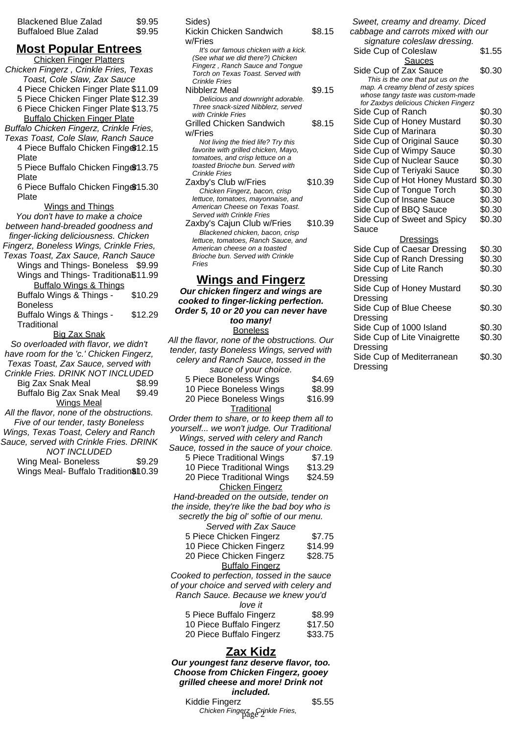| <b>Blackened Blue Zalad</b> | \$9.95 |
|-----------------------------|--------|
| <b>Buffaloed Blue Zalad</b> | \$9.95 |

#### **Most Popular Entrees**

Chicken Finger Platters Chicken Fingerz , Crinkle Fries, Texas Toast, Cole Slaw, Zax Sauce 4 Piece Chicken Finger Plate \$11.09 5 Piece Chicken Finger Plate \$12.39 6 Piece Chicken Finger Plate \$13.75 Buffalo Chicken Finger Plate Buffalo Chicken Fingerz, Crinkle Fries, Texas Toast, Cole Slaw, Ranch Sauce 4 Piece Buffalo Chicken Fing \$12.15 Plate 5 Piece Buffalo Chicken Fing \$13.75 Plate 6 Piece Buffalo Chicken Fing \$15.30 Plate Wings and Things You don't have to make a choice between hand-breaded goodness and finger-licking deliciousness. Chicken Fingerz, Boneless Wings, Crinkle Fries, Texas Toast, Zax Sauce, Ranch Sauce Wings and Things- Boneless \$9.99 Wings and Things- Traditiona\$11.99 Buffalo Wings & Things Buffalo Wings & Things - Boneless \$10.29 Buffalo Wings & Things - **Traditional** \$12.29 Big Zax Snak So overloaded with flavor, we didn't have room for the 'c.' Chicken Fingerz, Texas Toast, Zax Sauce, served with Crinkle Fries. DRINK NOT INCLUDED Big Zax Snak Meal \$8.99 Buffalo Big Zax Snak Meal \$9.49 Wings Meal All the flavor, none of the obstructions. Five of our tender, tasty Boneless Wings, Texas Toast, Celery and Ranch Sauce, served with Crinkle Fries. DRINK NOT INCLUDED Wing Meal- Boneless \$9.29 Wings Meal- Buffalo Tradition\$110.39

| Siues)                               |         |
|--------------------------------------|---------|
| Kickin Chicken Sandwich              | \$8.15  |
| w/Fries                              |         |
| It's our famous chicken with a kick. |         |
| (See what we did there?) Chicken     |         |
| Fingerz, Ranch Sauce and Tongue      |         |
| Torch on Texas Toast. Served with    |         |
| Crinkle Fries                        |         |
| Nibblerz Meal                        | \$9.15  |
| Delicious and downright adorable.    |         |
| Three snack-sized Nibblerz, served   |         |
| with Crinkle Fries                   |         |
| <b>Grilled Chicken Sandwich</b>      | \$8.15  |
| w/Fries                              |         |
| Not living the fried life? Try this  |         |
| favorite with grilled chicken, Mayo, |         |
| tomatoes, and crisp lettuce on a     |         |
| toasted Brioche bun. Served with     |         |
| <b>Crinkle Fries</b>                 |         |
| Zaxby's Club w/Fries                 | \$10.39 |
| Chicken Fingerz, bacon, crisp        |         |
| lettuce, tomatoes, mayonnaise, and   |         |
| American Cheese on Texas Toast.      |         |
| Served with Crinkle Fries            |         |
| Zaxby's Cajun Club w/Fries           | \$10.39 |
| Blackened chicken, bacon, crisp      |         |
| lettuce, tomatoes, Ranch Sauce, and  |         |
| American cheese on a toasted         |         |
| Brioche bun, Served with Crinkle     |         |
| Fries                                |         |
| <b>Wings and Fingerz</b>             |         |
|                                      |         |
| Our chicken fingerz and wings are    |         |
| cooked to finger-licking perfection. |         |
| Order 5, 10 or 20 you can never have |         |
|                                      |         |

 $\sim$ 

**too many!** Boneless

All the flavor, none of the obstructions. Our tender, tasty Boneless Wings, served with celery and Ranch Sauce, tossed in the sauce of your choice. 5 Piece Boneless Wings \$4.69

| <u>U LIACA DOIIAIRES MIIINS</u> | J4.UJ   |
|---------------------------------|---------|
| 10 Piece Boneless Wings         | \$8.99  |
| 20 Piece Boneless Wings         | \$16.99 |
| Traditional                     |         |

Order them to share, or to keep them all to yourself... we won't judge. Our Traditional Wings, served with celery and Ranch

Sauce, tossed in the sauce of your choice. 5 Piece Traditional Wings \$7.19 10 Piece Traditional Wings \$13.29 20 Piece Traditional Wings \$24.59 Chicken Fingerz Hand-breaded on the outside, tender on the inside, they're like the bad boy who is secretly the big ol' softie of our menu. Served with Zax Sauce

| 5 Piece Chicken Fingerz  | \$7.75  |
|--------------------------|---------|
| 10 Piece Chicken Fingerz | \$14.99 |
| 20 Piece Chicken Fingerz | \$28.75 |
| <b>Buffalo Fingerz</b>   |         |

Cooked to perfection, tossed in the sauce of your choice and served with celery and Ranch Sauce. Because we knew you'd

| \$8.99  |
|---------|
| \$17.50 |
| \$33.75 |
|         |

#### **Zax Kidz**

**Our youngest fanz deserve flavor, too. Choose from Chicken Fingerz, gooey grilled cheese and more! Drink not included.**

Kiddie Fingerz **\$5.55** Chicken Fingerz Crinkle Fries,

Sweet, creamy and dreamy. Diced cabbage and carrots mixed with our signature coleslaw dressing. Side Cup of Coleslaw \$1.55 Sauces Side Cup of Zax Sauce \$0.30 This is the one that put us on the map. A creamy blend of zesty spices whose tangy taste was custom-made for Zaxbys delicious Chicken Fingerz Side Cup of Ranch \$0.30 Side Cup of Honey Mustard \$0.30 Side Cup of Marinara  $$0.30$ Side Cup of Original Sauce \$0.30 Side Cup of Wimpy Sauce \$0.30 Side Cup of Nuclear Sauce \$0.30 Side Cup of Teriyaki Sauce \$0.30 Side Cup of Hot Honey Mustard \$0.30 Side Cup of Tongue Torch \$0.30 Side Cup of Insane Sauce \$0.30 Side Cup of BBQ Sauce \$0.30 Side Cup of Sweet and Spicy Sauce \$0.30 Dressings Side Cup of Caesar Dressing \$0.30 Side Cup of Ranch Dressing \$0.30 Side Cup of Lite Ranch Dressing \$0.30 Side Cup of Honey Mustard Dressing \$0.30 Side Cup of Blue Cheese Dressing \$0.30 Side Cup of 1000 Island \$0.30 Side Cup of Lite Vinaigrette \$0.30

Dressing

Dressing

Side Cup of Mediterranean

\$0.30